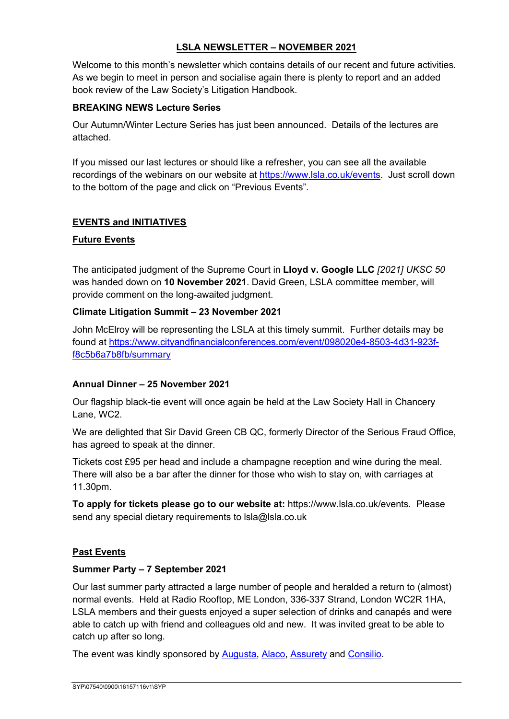## **LSLA NEWSLETTER – NOVEMBER 2021**

Welcome to this month's newsletter which contains details of our recent and future activities. As we begin to meet in person and socialise again there is plenty to report and an added book review of the Law Society's Litigation Handbook.

#### **BREAKING NEWS Lecture Series**

Our Autumn/Winter Lecture Series has just been announced. Details of the lectures are attached.

If you missed our last lectures or should like a refresher, you can see all the available recordings of the webinars on our website at https://www.lsla.co.uk/events. Just scroll down to the bottom of the page and click on "Previous Events".

## **EVENTS and INITIATIVES**

#### **Future Events**

The anticipated judgment of the Supreme Court in **Lloyd v. Google LLC** *[2021] UKSC 50*  was handed down on **10 November 2021**. David Green, LSLA committee member, will provide comment on the long-awaited judgment.

#### **Climate Litigation Summit – 23 November 2021**

John McElroy will be representing the LSLA at this timely summit. Further details may be found at https://www.cityandfinancialconferences.com/event/098020e4-8503-4d31-923ff8c5b6a7b8fb/summary

## **Annual Dinner – 25 November 2021**

Our flagship black-tie event will once again be held at the Law Society Hall in Chancery Lane, WC2.

We are delighted that Sir David Green CB QC, formerly Director of the Serious Fraud Office, has agreed to speak at the dinner.

Tickets cost £95 per head and include a champagne reception and wine during the meal. There will also be a bar after the dinner for those who wish to stay on, with carriages at 11.30pm.

**To apply for tickets please go to our website at:** https://www.lsla.co.uk/events. Please send any special dietary requirements to lsla@lsla.co.uk

#### **Past Events**

#### **Summer Party – 7 September 2021**

Our last summer party attracted a large number of people and heralded a return to (almost) normal events. Held at Radio Rooftop, ME London, 336-337 Strand, London WC2R 1HA, LSLA members and their guests enjoyed a super selection of drinks and canapés and were able to catch up with friend and colleagues old and new. It was invited great to be able to catch up after so long.

The event was kindly sponsored by Augusta, Alaco, Assurety and Consilio.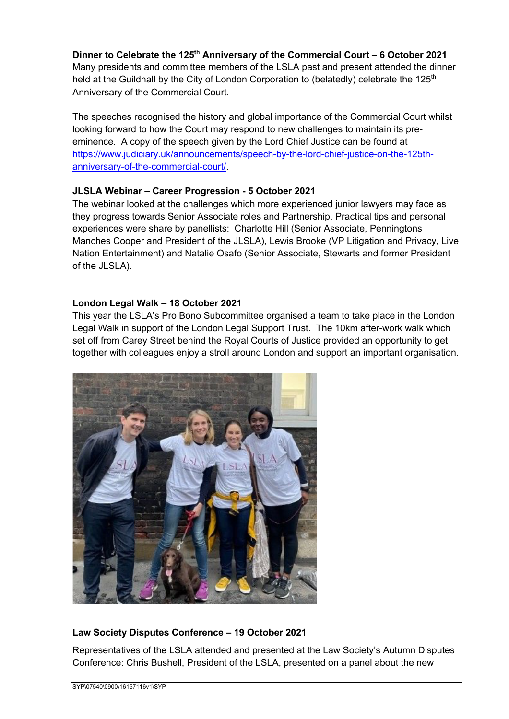**Dinner to Celebrate the 125th Anniversary of the Commercial Court – 6 October 2021** Many presidents and committee members of the LSLA past and present attended the dinner held at the Guildhall by the City of London Corporation to (belatedly) celebrate the 125<sup>th</sup> Anniversary of the Commercial Court.

The speeches recognised the history and global importance of the Commercial Court whilst looking forward to how the Court may respond to new challenges to maintain its preeminence. A copy of the speech given by the Lord Chief Justice can be found at https://www.judiciary.uk/announcements/speech-by-the-lord-chief-justice-on-the-125thanniversary-of-the-commercial-court/.

#### **JLSLA Webinar – Career Progression - 5 October 2021**

The webinar looked at the challenges which more experienced junior lawyers may face as they progress towards Senior Associate roles and Partnership. Practical tips and personal experiences were share by panellists: Charlotte Hill (Senior Associate, Penningtons Manches Cooper and President of the JLSLA), Lewis Brooke (VP Litigation and Privacy, Live Nation Entertainment) and Natalie Osafo (Senior Associate, Stewarts and former President of the JLSLA).

#### **London Legal Walk – 18 October 2021**

This year the LSLA's Pro Bono Subcommittee organised a team to take place in the London Legal Walk in support of the London Legal Support Trust. The 10km after-work walk which set off from Carey Street behind the Royal Courts of Justice provided an opportunity to get together with colleagues enjoy a stroll around London and support an important organisation.



## **Law Society Disputes Conference – 19 October 2021**

Representatives of the LSLA attended and presented at the Law Society's Autumn Disputes Conference: Chris Bushell, President of the LSLA, presented on a panel about the new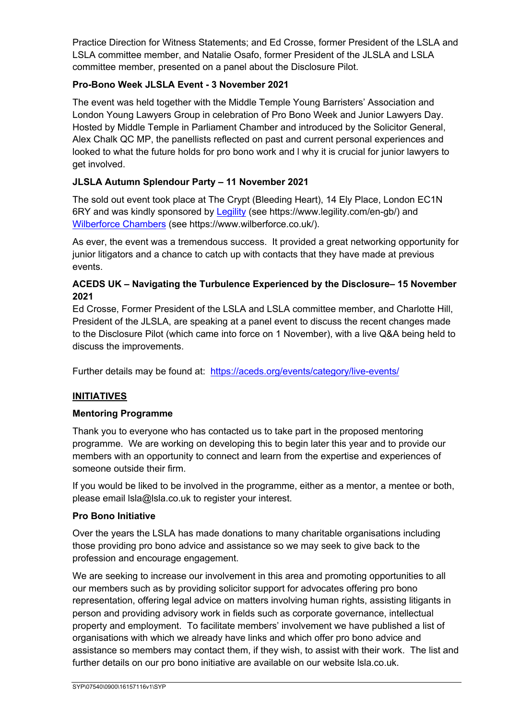Practice Direction for Witness Statements; and Ed Crosse, former President of the LSLA and LSLA committee member, and Natalie Osafo, former President of the JLSLA and LSLA committee member, presented on a panel about the Disclosure Pilot.

## **Pro-Bono Week JLSLA Event - 3 November 2021**

The event was held together with the Middle Temple Young Barristers' Association and London Young Lawyers Group in celebration of Pro Bono Week and Junior Lawyers Day. Hosted by Middle Temple in Parliament Chamber and introduced by the Solicitor General, Alex Chalk QC MP, the panellists reflected on past and current personal experiences and looked to what the future holds for pro bono work and l why it is crucial for junior lawyers to get involved.

# **JLSLA Autumn Splendour Party – 11 November 2021**

The sold out event took place at The Crypt (Bleeding Heart), 14 Ely Place, London EC1N 6RY and was kindly sponsored by Legility (see https://www.legility.com/en-gb/) and Wilberforce Chambers (see https://www.wilberforce.co.uk/).

As ever, the event was a tremendous success. It provided a great networking opportunity for junior litigators and a chance to catch up with contacts that they have made at previous events.

## **ACEDS UK – Navigating the Turbulence Experienced by the Disclosure– 15 November 2021**

Ed Crosse, Former President of the LSLA and LSLA committee member, and Charlotte Hill, President of the JLSLA, are speaking at a panel event to discuss the recent changes made to the Disclosure Pilot (which came into force on 1 November), with a live Q&A being held to discuss the improvements.

Further details may be found at: https://aceds.org/events/category/live-events/

# **INITIATIVES**

## **Mentoring Programme**

Thank you to everyone who has contacted us to take part in the proposed mentoring programme. We are working on developing this to begin later this year and to provide our members with an opportunity to connect and learn from the expertise and experiences of someone outside their firm.

If you would be liked to be involved in the programme, either as a mentor, a mentee or both, please email lsla@lsla.co.uk to register your interest.

#### **Pro Bono Initiative**

Over the years the LSLA has made donations to many charitable organisations including those providing pro bono advice and assistance so we may seek to give back to the profession and encourage engagement.

We are seeking to increase our involvement in this area and promoting opportunities to all our members such as by providing solicitor support for advocates offering pro bono representation, offering legal advice on matters involving human rights, assisting litigants in person and providing advisory work in fields such as corporate governance, intellectual property and employment. To facilitate members' involvement we have published a list of organisations with which we already have links and which offer pro bono advice and assistance so members may contact them, if they wish, to assist with their work. The list and further details on our pro bono initiative are available on our website lsla.co.uk.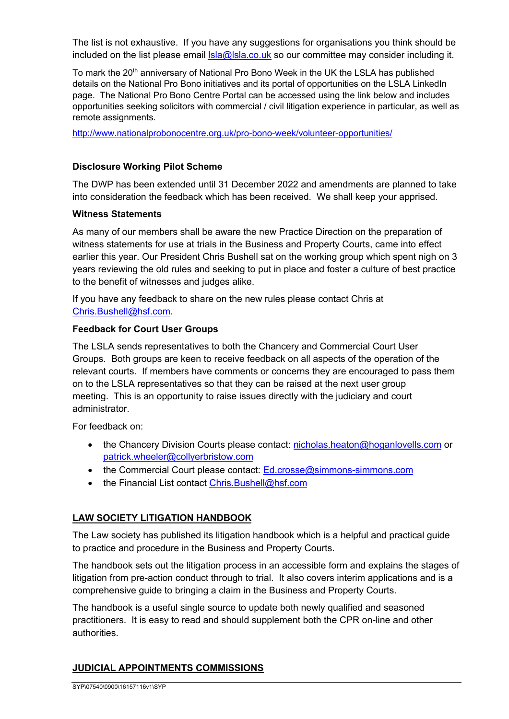The list is not exhaustive. If you have any suggestions for organisations you think should be included on the list please email  $\text{lsla@lsla.co.uk}$  so our committee may consider including it.

To mark the 20<sup>th</sup> anniversary of National Pro Bono Week in the UK the LSLA has published details on the National Pro Bono initiatives and its portal of opportunities on the LSLA LinkedIn page. The National Pro Bono Centre Portal can be accessed using the link below and includes opportunities seeking solicitors with commercial / civil litigation experience in particular, as well as remote assignments.

http://www.nationalprobonocentre.org.uk/pro-bono-week/volunteer-opportunities/

#### **Disclosure Working Pilot Scheme**

The DWP has been extended until 31 December 2022 and amendments are planned to take into consideration the feedback which has been received. We shall keep your apprised.

#### **Witness Statements**

As many of our members shall be aware the new Practice Direction on the preparation of witness statements for use at trials in the Business and Property Courts, came into effect earlier this year. Our President Chris Bushell sat on the working group which spent nigh on 3 years reviewing the old rules and seeking to put in place and foster a culture of best practice to the benefit of witnesses and judges alike.

If you have any feedback to share on the new rules please contact Chris at Chris.Bushell@hsf.com.

#### **Feedback for Court User Groups**

The LSLA sends representatives to both the Chancery and Commercial Court User Groups. Both groups are keen to receive feedback on all aspects of the operation of the relevant courts. If members have comments or concerns they are encouraged to pass them on to the LSLA representatives so that they can be raised at the next user group meeting. This is an opportunity to raise issues directly with the judiciary and court administrator.

For feedback on:

- the Chancery Division Courts please contact: nicholas.heaton@hoganlovells.com or patrick.wheeler@collyerbristow.com
- the Commercial Court please contact: Ed.crosse@simmons-simmons.com
- the Financial List contact Chris.Bushell@hsf.com

## **LAW SOCIETY LITIGATION HANDBOOK**

The Law society has published its litigation handbook which is a helpful and practical guide to practice and procedure in the Business and Property Courts.

The handbook sets out the litigation process in an accessible form and explains the stages of litigation from pre-action conduct through to trial. It also covers interim applications and is a comprehensive guide to bringing a claim in the Business and Property Courts.

The handbook is a useful single source to update both newly qualified and seasoned practitioners. It is easy to read and should supplement both the CPR on-line and other authorities.

## **JUDICIAL APPOINTMENTS COMMISSIONS**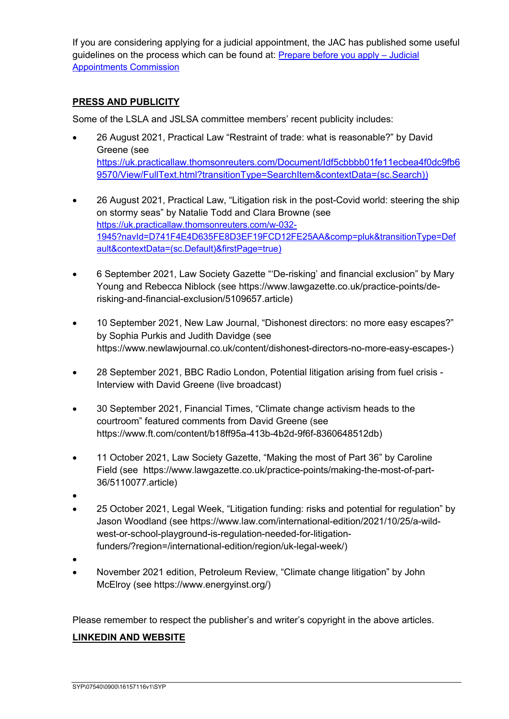If you are considering applying for a judicial appointment, the JAC has published some useful guidelines on the process which can be found at: Prepare before you apply – Judicial Appointments Commission

## **PRESS AND PUBLICITY**

Some of the LSLA and JSLSA committee members' recent publicity includes:

- 26 August 2021, Practical Law "Restraint of trade: what is reasonable?" by David Greene (see https://uk.practicallaw.thomsonreuters.com/Document/Idf5cbbbb01fe11ecbea4f0dc9fb6 9570/View/FullText.html?transitionType=SearchItem&contextData=(sc.Search))
- 26 August 2021, Practical Law, "Litigation risk in the post-Covid world: steering the ship on stormy seas" by Natalie Todd and Clara Browne (see https://uk.practicallaw.thomsonreuters.com/w-032- 1945?navId=D741F4E4D635FE8D3EF19FCD12FE25AA&comp=pluk&transitionType=Def ault&contextData=(sc.Default)&firstPage=true)
- 6 September 2021, Law Society Gazette "'De-risking' and financial exclusion" by Mary Young and Rebecca Niblock (see https://www.lawgazette.co.uk/practice-points/derisking-and-financial-exclusion/5109657.article)
- 10 September 2021, New Law Journal, "Dishonest directors: no more easy escapes?" by Sophia Purkis and Judith Davidge (see https://www.newlawjournal.co.uk/content/dishonest-directors-no-more-easy-escapes-)
- 28 September 2021, BBC Radio London, Potential litigation arising from fuel crisis Interview with David Greene (live broadcast)
- 30 September 2021, Financial Times, "Climate change activism heads to the courtroom" featured comments from David Greene (see https://www.ft.com/content/b18ff95a-413b-4b2d-9f6f-8360648512db)
- 11 October 2021, Law Society Gazette, "Making the most of Part 36" by Caroline Field (see https://www.lawgazette.co.uk/practice-points/making-the-most-of-part-36/5110077.article)
- •
- 25 October 2021, Legal Week, "Litigation funding: risks and potential for regulation" by Jason Woodland (see https://www.law.com/international-edition/2021/10/25/a-wildwest-or-school-playground-is-regulation-needed-for-litigationfunders/?region=/international-edition/region/uk-legal-week/)
- •
- November 2021 edition, Petroleum Review, "Climate change litigation" by John McElroy (see https://www.energyinst.org/)

Please remember to respect the publisher's and writer's copyright in the above articles.

## **LINKEDIN AND WEBSITE**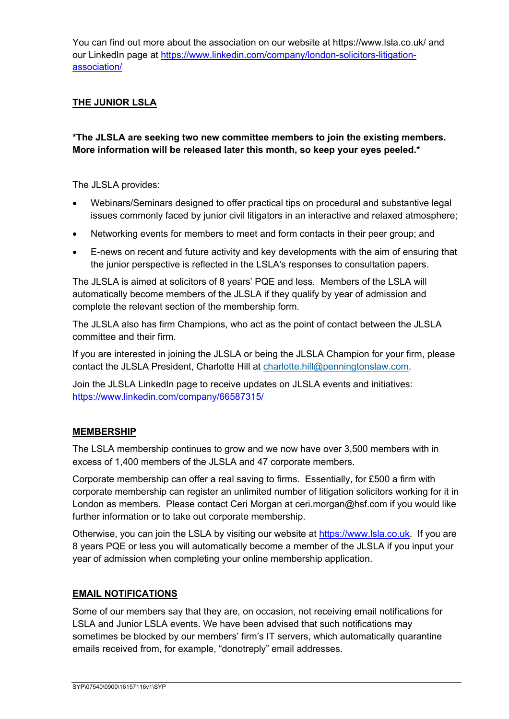You can find out more about the association on our website at https://www.lsla.co.uk/ and our LinkedIn page at https://www.linkedin.com/company/london-solicitors-litigationassociation/

## **THE JUNIOR LSLA**

## **\*The JLSLA are seeking two new committee members to join the existing members. More information will be released later this month, so keep your eyes peeled.\***

The JLSLA provides:

- Webinars/Seminars designed to offer practical tips on procedural and substantive legal issues commonly faced by junior civil litigators in an interactive and relaxed atmosphere;
- Networking events for members to meet and form contacts in their peer group; and
- E-news on recent and future activity and key developments with the aim of ensuring that the junior perspective is reflected in the LSLA's responses to consultation papers.

The JLSLA is aimed at solicitors of 8 years' PQE and less. Members of the LSLA will automatically become members of the JLSLA if they qualify by year of admission and complete the relevant section of the membership form.

The JLSLA also has firm Champions, who act as the point of contact between the JLSLA committee and their firm.

If you are interested in joining the JLSLA or being the JLSLA Champion for your firm, please contact the JLSLA President, Charlotte Hill at charlotte.hill@penningtonslaw.com.

Join the JLSLA LinkedIn page to receive updates on JLSLA events and initiatives: https://www.linkedin.com/company/66587315/

## **MEMBERSHIP**

The LSLA membership continues to grow and we now have over 3,500 members with in excess of 1,400 members of the JLSLA and 47 corporate members.

Corporate membership can offer a real saving to firms. Essentially, for £500 a firm with corporate membership can register an unlimited number of litigation solicitors working for it in London as members. Please contact Ceri Morgan at ceri.morgan@hsf.com if you would like further information or to take out corporate membership.

Otherwise, you can join the LSLA by visiting our website at https://www.lsla.co.uk. If you are 8 years PQE or less you will automatically become a member of the JLSLA if you input your year of admission when completing your online membership application.

#### **EMAIL NOTIFICATIONS**

Some of our members say that they are, on occasion, not receiving email notifications for LSLA and Junior LSLA events. We have been advised that such notifications may sometimes be blocked by our members' firm's IT servers, which automatically quarantine emails received from, for example, "donotreply" email addresses.